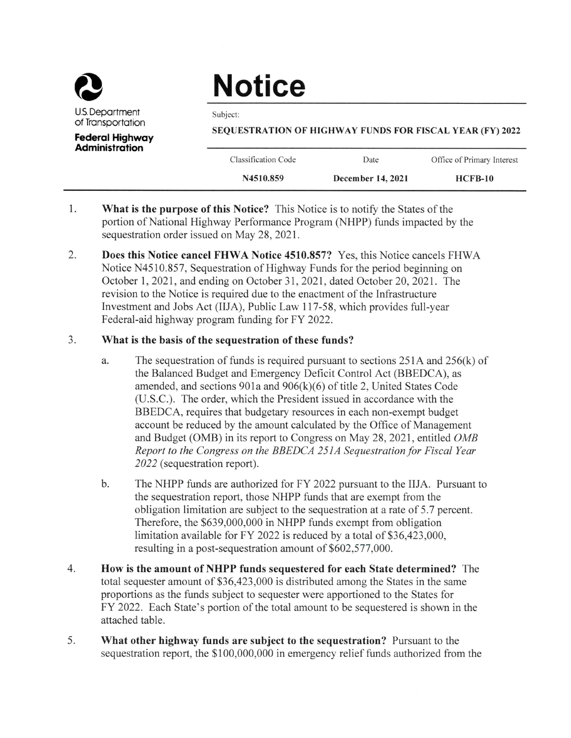

## **Notice**

Subject:

SEQUESTRATION OF HIGHWAY FUNDS FOR FISCAL YEAR (FY) 2022

**Federal Highway Administration** 

| Classification Code | Date | Office of Primary Interest |
|---------------------|------|----------------------------|

- 1. What is the purpose of this Notice? This Notice is to notify the States of the portion of National Highway Performance Program (NHPP) funds impacted by the sequestration order issued on May 28, 2021.
- 2. **Does this Notice cancel FHWA Notice 4510.857?** Yes, this Notice cancels FHWA Notice N4510.857, Sequestration of Highway Funds for the period beginning on October 1, 2021, and ending on October 31, 2021, dated October 20, 2021. The revision to the Notice is required due to the enactment of the Infrastructure Investment and Jobs Act (IIJA), Public Law 117-58, which provides full-year Federal-aid highway program funding for FY 2022.

## $3.$ What is the basis of the sequestration of these funds?

- a. The sequestration of funds is required pursuant to sections  $251A$  and  $256(k)$  of the Balanced Budget and Emergency Deficit Control Act (BBEDCA), as amended, and sections  $901a$  and  $906(k)(6)$  of title 2, United States Code (U.S.C.). The order, which the President issued in accordance with the BBEDCA, requires that budgetary resources in each non-exempt budget account be reduced by the amount calculated by the Office of Management and Budget (OMB) in its report to Congress on May 28, 2021, entitled OMB Report to the Congress on the BBEDCA 251A Sequestration for Fiscal Year 2022 (sequestration report).
- $\mathbf{b}$ . The NHPP funds are authorized for FY 2022 pursuant to the IIJA. Pursuant to the sequestration report, those NHPP funds that are exempt from the obligation limitation are subject to the sequestration at a rate of 5.7 percent. Therefore, the \$639,000,000 in NHPP funds exempt from obligation limitation available for FY 2022 is reduced by a total of \$36,423,000, resulting in a post-sequestration amount of \$602,577,000.
- 4. How is the amount of NHPP funds sequestered for each State determined? The total sequester amount of \$36,423,000 is distributed among the States in the same proportions as the funds subject to sequester were apportioned to the States for FY 2022. Each State's portion of the total amount to be sequestered is shown in the attached table.
- 5. What other highway funds are subject to the sequestration? Pursuant to the sequestration report, the \$100,000,000 in emergency relief funds authorized from the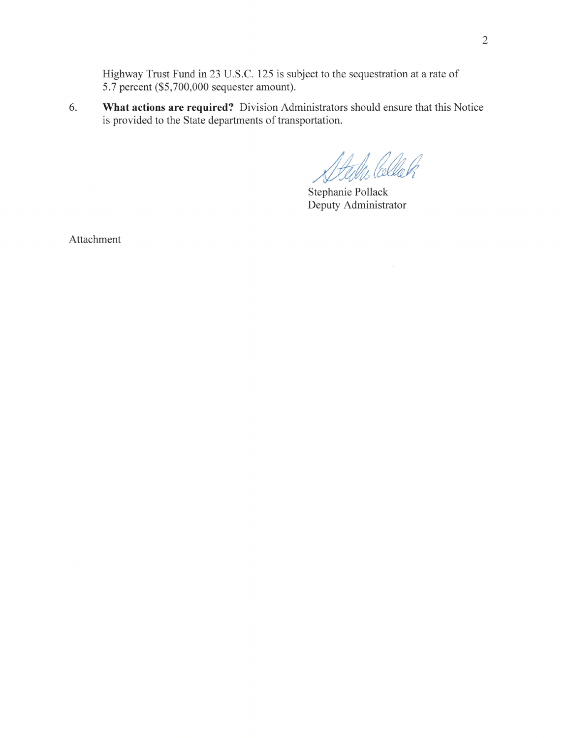Highway Trust Fund in 23 U.S.C. 125 is subject to the sequestration at a rate of 5.7 percent (\$5,700,000 sequester amount).

What actions are required? Division Administrators should ensure that this Notice is provided to the State departments of transportation. 6.

Filles Collach

Stephanie Pollack Deputy Administrator

Attachment